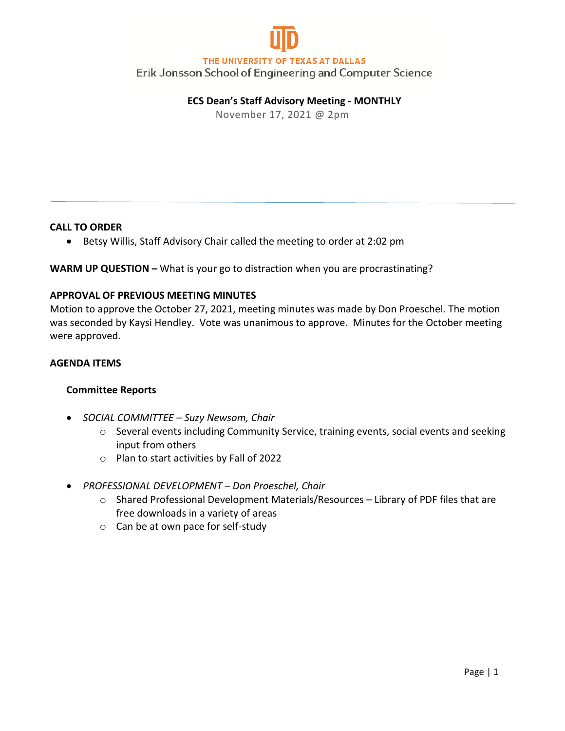

## THE UNIVERSITY OF TEXAS AT DALLAS

Erik Jonsson School of Engineering and Computer Science

# **ECS Dean's Staff Advisory Meeting - MONTHLY**

November 17, 2021 @ 2pm

#### **CALL TO ORDER**

• Betsy Willis, Staff Advisory Chair called the meeting to order at 2:02 pm

### **WARM UP QUESTION –** What is your go to distraction when you are procrastinating?

#### **APPROVAL OF PREVIOUS MEETING MINUTES**

Motion to approve the October 27, 2021, meeting minutes was made by Don Proeschel. The motion was seconded by Kaysi Hendley. Vote was unanimous to approve. Minutes for the October meeting were approved.

#### **AGENDA ITEMS**

### **Committee Reports**

- *SOCIAL COMMITTEE – Suzy Newsom, Chair*
	- o Several events including Community Service, training events, social events and seeking input from others
	- o Plan to start activities by Fall of 2022
- *PROFESSIONAL DEVELOPMENT – Don Proeschel, Chair*
	- o Shared Professional Development Materials/Resources Library of PDF files that are free downloads in a variety of areas
	- o Can be at own pace for self-study